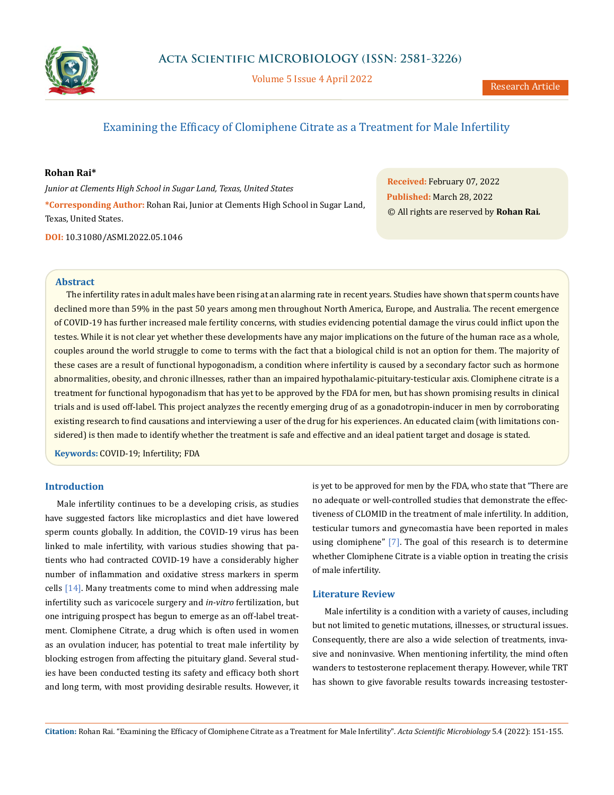

Volume 5 Issue 4 April 2022

# Examining the Efficacy of Clomiphene Citrate as a Treatment for Male Infertility

# **Rohan Rai\***

*Junior at Clements High School in Sugar Land, Texas, United States* **\*Corresponding Author:** Rohan Rai, Junior at Clements High School in Sugar Land, Texas, United States.

**DOI:** [10.31080/ASMI.2022.05.1046](http://actascientific.com/ASMI/pdf/ASMI-05-1046.pdf)

**Received:** February 07, 2022 **Published:** March 28, 2022 © All rights are reserved by **Rohan Rai***.*

# **Abstract**

The infertility rates in adult males have been rising at an alarming rate in recent years. Studies have shown that sperm counts have declined more than 59% in the past 50 years among men throughout North America, Europe, and Australia. The recent emergence of COVID-19 has further increased male fertility concerns, with studies evidencing potential damage the virus could inflict upon the testes. While it is not clear yet whether these developments have any major implications on the future of the human race as a whole, couples around the world struggle to come to terms with the fact that a biological child is not an option for them. The majority of these cases are a result of functional hypogonadism, a condition where infertility is caused by a secondary factor such as hormone abnormalities, obesity, and chronic illnesses, rather than an impaired hypothalamic-pituitary-testicular axis. Clomiphene citrate is a treatment for functional hypogonadism that has yet to be approved by the FDA for men, but has shown promising results in clinical trials and is used off-label. This project analyzes the recently emerging drug of as a gonadotropin-inducer in men by corroborating existing research to find causations and interviewing a user of the drug for his experiences. An educated claim (with limitations considered) is then made to identify whether the treatment is safe and effective and an ideal patient target and dosage is stated.

**Keywords:** COVID-19; Infertility; FDA

# **Introduction**

Male infertility continues to be a developing crisis, as studies have suggested factors like microplastics and diet have lowered sperm counts globally. In addition, the COVID-19 virus has been linked to male infertility, with various studies showing that patients who had contracted COVID-19 have a considerably higher number of inflammation and oxidative stress markers in sperm cells [14]. Many treatments come to mind when addressing male infertility such as varicocele surgery and *in-vitro* fertilization, but one intriguing prospect has begun to emerge as an off-label treatment. Clomiphene Citrate, a drug which is often used in women as an ovulation inducer, has potential to treat male infertility by blocking estrogen from affecting the pituitary gland. Several studies have been conducted testing its safety and efficacy both short and long term, with most providing desirable results. However, it is yet to be approved for men by the FDA, who state that "There are no adequate or well-controlled studies that demonstrate the effectiveness of CLOMID in the treatment of male infertility. In addition, testicular tumors and gynecomastia have been reported in males using clomiphene" [7]. The goal of this research is to determine whether Clomiphene Citrate is a viable option in treating the crisis of male infertility.

# **Literature Review**

Male infertility is a condition with a variety of causes, including but not limited to genetic mutations, illnesses, or structural issues. Consequently, there are also a wide selection of treatments, invasive and noninvasive. When mentioning infertility, the mind often wanders to testosterone replacement therapy. However, while TRT has shown to give favorable results towards increasing testoster-

**Citation:** Rohan Rai*.* "Examining the Efficacy of Clomiphene Citrate as a Treatment for Male Infertility". *Acta Scientific Microbiology* 5.4 (2022): 151-155.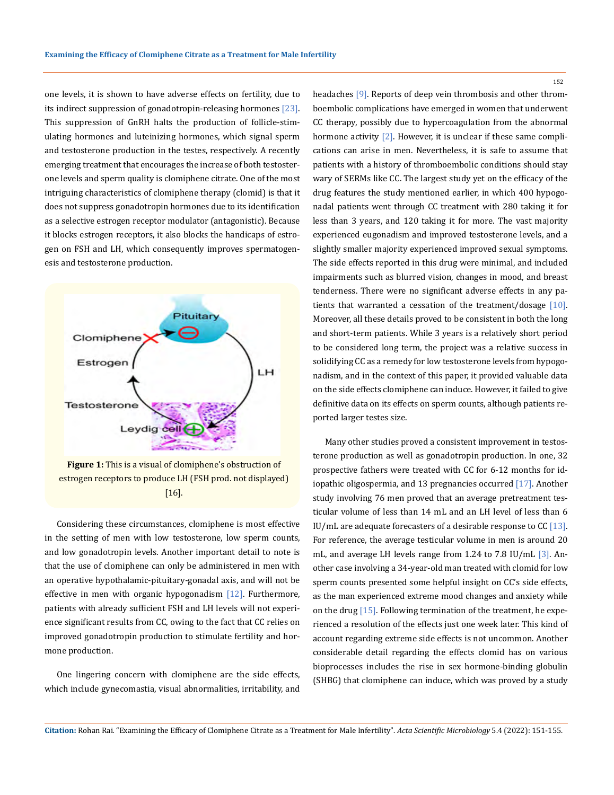one levels, it is shown to have adverse effects on fertility, due to its indirect suppression of gonadotropin-releasing hormones [23]. This suppression of GnRH halts the production of follicle-stimulating hormones and luteinizing hormones, which signal sperm and testosterone production in the testes, respectively. A recently emerging treatment that encourages the increase of both testosterone levels and sperm quality is clomiphene citrate. One of the most intriguing characteristics of clomiphene therapy (clomid) is that it does not suppress gonadotropin hormones due to its identification as a selective estrogen receptor modulator (antagonistic). Because it blocks estrogen receptors, it also blocks the handicaps of estrogen on FSH and LH, which consequently improves spermatogenesis and testosterone production.



**Figure 1:** This is a visual of clomiphene's obstruction of estrogen receptors to produce LH (FSH prod. not displayed) [16].

Considering these circumstances, clomiphene is most effective in the setting of men with low testosterone, low sperm counts, and low gonadotropin levels. Another important detail to note is that the use of clomiphene can only be administered in men with an operative hypothalamic-pituitary-gonadal axis, and will not be effective in men with organic hypogonadism  $[12]$ . Furthermore, patients with already sufficient FSH and LH levels will not experience significant results from CC, owing to the fact that CC relies on improved gonadotropin production to stimulate fertility and hormone production.

One lingering concern with clomiphene are the side effects, which include gynecomastia, visual abnormalities, irritability, and headaches [9]. Reports of deep vein thrombosis and other thromboembolic complications have emerged in women that underwent CC therapy, possibly due to hypercoagulation from the abnormal hormone activity  $[2]$ . However, it is unclear if these same complications can arise in men. Nevertheless, it is safe to assume that patients with a history of thromboembolic conditions should stay wary of SERMs like CC. The largest study yet on the efficacy of the drug features the study mentioned earlier, in which 400 hypogonadal patients went through CC treatment with 280 taking it for less than 3 years, and 120 taking it for more. The vast majority experienced eugonadism and improved testosterone levels, and a slightly smaller majority experienced improved sexual symptoms. The side effects reported in this drug were minimal, and included impairments such as blurred vision, changes in mood, and breast tenderness. There were no significant adverse effects in any patients that warranted a cessation of the treatment/dosage [10]. Moreover, all these details proved to be consistent in both the long and short-term patients. While 3 years is a relatively short period to be considered long term, the project was a relative success in solidifying CC as a remedy for low testosterone levels from hypogonadism, and in the context of this paper, it provided valuable data on the side effects clomiphene can induce. However, it failed to give definitive data on its effects on sperm counts, although patients reported larger testes size.

Many other studies proved a consistent improvement in testosterone production as well as gonadotropin production. In one, 32 prospective fathers were treated with CC for 6-12 months for idiopathic oligospermia, and 13 pregnancies occurred [17]. Another study involving 76 men proved that an average pretreatment testicular volume of less than 14 mL and an LH level of less than 6 IU/mL are adequate forecasters of a desirable response to  $CC$  [13]. For reference, the average testicular volume in men is around 20 mL, and average LH levels range from 1.24 to 7.8 IU/mL [3]. Another case involving a 34-year-old man treated with clomid for low sperm counts presented some helpful insight on CC's side effects, as the man experienced extreme mood changes and anxiety while on the drug [15]. Following termination of the treatment, he experienced a resolution of the effects just one week later. This kind of account regarding extreme side effects is not uncommon. Another considerable detail regarding the effects clomid has on various bioprocesses includes the rise in sex hormone-binding globulin (SHBG) that clomiphene can induce, which was proved by a study

**Citation:** Rohan Rai*.* "Examining the Efficacy of Clomiphene Citrate as a Treatment for Male Infertility". *Acta Scientific Microbiology* 5.4 (2022): 151-155.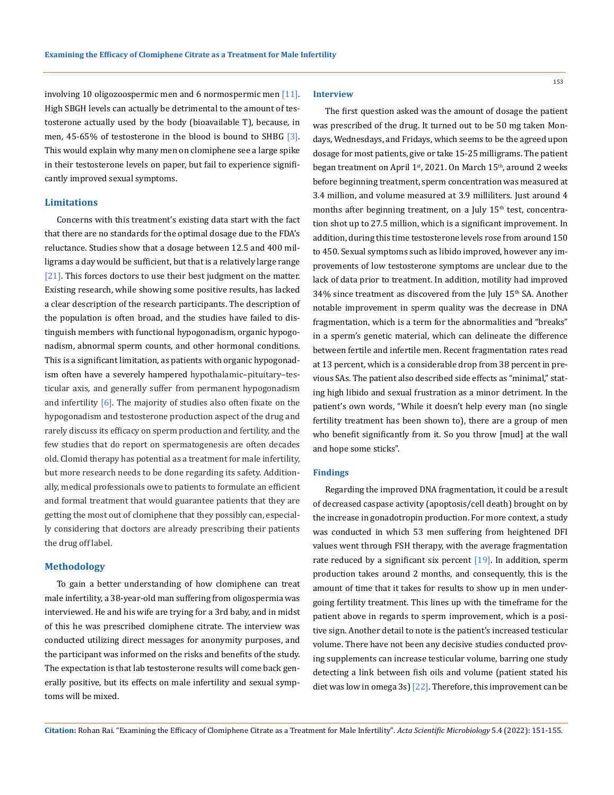involving 10 oligozoospermic men and 6 normospermic men  $[11]$ . High SBGH levels can actually be detrimental to the amount of testosterone actually used by the body (bioavailable T), because, in men, 45-65% of testosterone in the blood is bound to SHBG  $[3]$ . This would explain why many men on clomiphene see a large spike in their testosterone levels on paper, but fail to experience significantly improved sexual symptoms.

# **Limitations**

Concerns with this treatment's existing data start with the fact that there are no standards for the optimal dosage due to the FDA's reluctance. Studies show that a dosage between 12.5 and 400 milligrams a day would be sufficient, but that is a relatively large range [21]. This forces doctors to use their best judgment on the matter. Existing research, while showing some positive results, has lacked a clear description of the research participants. The description of the population is often broad, and the studies have failed to distinguish members with functional hypogonadism, organic hypogonadism, abnormal sperm counts, and other hormonal conditions. This is a significant limitation, as patients with organic hypogonadism often have a severely hampered hypothalamic–pituitary–testicular axis, and generally suffer from permanent hypogonadism and infertility  $[6]$ . The majority of studies also often fixate on the hypogonadism and testosterone production aspect of the drug and rarely discuss its efficacy on sperm production and fertility, and the few studies that do report on spermatogenesis are often decades old. Clomid therapy has potential as a treatment for male infertility, but more research needs to be done regarding its safety. Additionally, medical professionals owe to patients to formulate an efficient and formal treatment that would guarantee patients that they are getting the most out of clomiphene that they possibly can, especially considering that doctors are already prescribing their patients the drug off label.

#### **Methodology**

To gain a better understanding of how clomiphene can treat male infertility, a 38-year-old man suffering from oligospermia was interviewed. He and his wife are trying for a 3rd baby, and in midst of this he was prescribed clomiphene citrate. The interview was conducted utilizing direct messages for anonymity purposes, and the participant was informed on the risks and benefits of the study. The expectation is that lab testosterone results will come back generally positive, but its effects on male infertility and sexual symptoms will be mixed.

### **Interview**

The first question asked was the amount of dosage the patient was prescribed of the drug. It turned out to be 50 mg taken Mondays, Wednesdays, and Fridays, which seems to be the agreed upon dosage for most patients, give or take 15-25 milligrams. The patient began treatment on April 1<sup>st</sup>, 2021. On March 15<sup>th</sup>, around 2 weeks before beginning treatment, sperm concentration was measured at 3.4 million, and volume measured at 3.9 milliliters. Just around 4 months after beginning treatment, on a July  $15<sup>th</sup>$  test, concentration shot up to 27.5 million, which is a significant improvement. In addition, during this time testosterone levels rose from around 150 to 450. Sexual symptoms such as libido improved, however any improvements of low testosterone symptoms are unclear due to the lack of data prior to treatment. In addition, motility had improved 34% since treatment as discovered from the July 15<sup>th</sup> SA. Another notable improvement in sperm quality was the decrease in DNA fragmentation, which is a term for the abnormalities and "breaks" in a sperm's genetic material, which can delineate the difference between fertile and infertile men. Recent fragmentation rates read at 13 percent, which is a considerable drop from 38 percent in previous SAs. The patient also described side effects as "minimal," stating high libido and sexual frustration as a minor detriment. In the patient's own words, "While it doesn't help every man (no single fertility treatment has been shown to), there are a group of men who benefit significantly from it. So you throw [mud] at the wall and hope some sticks".

#### **Findings**

Regarding the improved DNA fragmentation, it could be a result of decreased caspase activity (apoptosis/cell death) brought on by the increase in gonadotropin production. For more context, a study was conducted in which 53 men suffering from heightened DFI values went through FSH therapy, with the average fragmentation rate reduced by a significant six percent  $[19]$ . In addition, sperm production takes around 2 months, and consequently, this is the amount of time that it takes for results to show up in men undergoing fertility treatment. This lines up with the timeframe for the patient above in regards to sperm improvement, which is a positive sign. Another detail to note is the patient's increased testicular volume. There have not been any decisive studies conducted proving supplements can increase testicular volume, barring one study detecting a link between fish oils and volume (patient stated his diet was low in omega 3s) [22]. Therefore, this improvement can be

**Citation:** Rohan Rai*.* "Examining the Efficacy of Clomiphene Citrate as a Treatment for Male Infertility". *Acta Scientific Microbiology* 5.4 (2022): 151-155.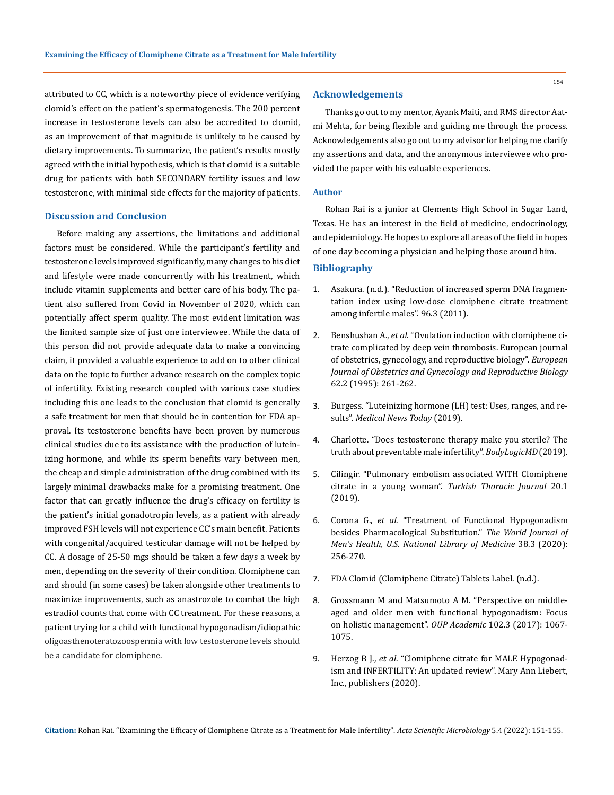attributed to CC, which is a noteworthy piece of evidence verifying clomid's effect on the patient's spermatogenesis. The 200 percent increase in testosterone levels can also be accredited to clomid, as an improvement of that magnitude is unlikely to be caused by dietary improvements. To summarize, the patient's results mostly agreed with the initial hypothesis, which is that clomid is a suitable drug for patients with both SECONDARY fertility issues and low testosterone, with minimal side effects for the majority of patients.

### **Discussion and Conclusion**

Before making any assertions, the limitations and additional factors must be considered. While the participant's fertility and testosterone levels improved significantly, many changes to his diet and lifestyle were made concurrently with his treatment, which include vitamin supplements and better care of his body. The patient also suffered from Covid in November of 2020, which can potentially affect sperm quality. The most evident limitation was the limited sample size of just one interviewee. While the data of this person did not provide adequate data to make a convincing claim, it provided a valuable experience to add on to other clinical data on the topic to further advance research on the complex topic of infertility. Existing research coupled with various case studies including this one leads to the conclusion that clomid is generally a safe treatment for men that should be in contention for FDA approval. Its testosterone benefits have been proven by numerous clinical studies due to its assistance with the production of luteinizing hormone, and while its sperm benefits vary between men, the cheap and simple administration of the drug combined with its largely minimal drawbacks make for a promising treatment. One factor that can greatly influence the drug's efficacy on fertility is the patient's initial gonadotropin levels, as a patient with already improved FSH levels will not experience CC's main benefit. Patients with congenital/acquired testicular damage will not be helped by CC. A dosage of 25-50 mgs should be taken a few days a week by men, depending on the severity of their condition. Clomiphene can and should (in some cases) be taken alongside other treatments to maximize improvements, such as anastrozole to combat the high estradiol counts that come with CC treatment. For these reasons, a patient trying for a child with functional hypogonadism/idiopathic oligoasthenoteratozoospermia with low testosterone levels should be a candidate for clomiphene.

# **Acknowledgements**

Thanks go out to my mentor, Ayank Maiti, and RMS director Aatmi Mehta, for being flexible and guiding me through the process. Acknowledgements also go out to my advisor for helping me clarify my assertions and data, and the anonymous interviewee who provided the paper with his valuable experiences.

#### **Author**

Rohan Rai is a junior at Clements High School in Sugar Land, Texas. He has an interest in the field of medicine, endocrinology, and epidemiology. He hopes to explore all areas of the field in hopes of one day becoming a physician and helping those around him.

#### **Bibliography**

- 1. [Asakura. \(n.d.\). "Reduction of increased sperm DNA fragmen](https://www.fertstert.org/article/S0015-0282(11)01985-6/fulltext)[tation index using low-dose clomiphene citrate treatment](https://www.fertstert.org/article/S0015-0282(11)01985-6/fulltext)  [among infertile males". 96.3 \(2011\).](https://www.fertstert.org/article/S0015-0282(11)01985-6/fulltext)
- 2. Benshushan A., *et al*[. "Ovulation induction with clomiphene ci](https://pubmed.ncbi.nlm.nih.gov/8582509/)[trate complicated by deep vein thrombosis. European journal](https://pubmed.ncbi.nlm.nih.gov/8582509/)  [of obstetrics, gynecology, and reproductive biology".](https://pubmed.ncbi.nlm.nih.gov/8582509/) *European [Journal of Obstetrics and Gynecology and Reproductive Biology](https://pubmed.ncbi.nlm.nih.gov/8582509/)*  [62.2 \(1995\): 261-262.](https://pubmed.ncbi.nlm.nih.gov/8582509/)
- 3. [Burgess. "Luteinizing hormone \(LH\) test: Uses, ranges, and re](http://www.medicalnewstoday.com/articles/324122)sults". *[Medical News Today](http://www.medicalnewstoday.com/articles/324122)* (2019).
- 4. [Charlotte. "Does testosterone therapy make you sterile? The](http://www.bodylogicmd.com/blog/does-testosterone-therapy-make-you-sterile-the-truth-about-preventable-male-infertility/)  [truth about preventable male infertility".](http://www.bodylogicmd.com/blog/does-testosterone-therapy-make-you-sterile-the-truth-about-preventable-male-infertility/) *BodyLogicMD* (2019).
- 5. [Cilingir. "Pulmonary embolism associated WITH Clomiphene](https://turkthoracj.org/en/pulmonary-embolism-associated-with-clomiphene-citrate-in-a-young-woman-131506)  citrate in a young woman". *[Turkish Thoracic Journal](https://turkthoracj.org/en/pulmonary-embolism-associated-with-clomiphene-citrate-in-a-young-woman-131506)* 20.1 [\(2019\).](https://turkthoracj.org/en/pulmonary-embolism-associated-with-clomiphene-citrate-in-a-young-woman-131506)
- 6. Corona G., *et al*[. "Treatment of Functional Hypogonadism](https://pubmed.ncbi.nlm.nih.gov/31496147/)  [besides Pharmacological Substitution."](https://pubmed.ncbi.nlm.nih.gov/31496147/) *The World Journal of [Men's Health, U.S. National Library of Medicine](https://pubmed.ncbi.nlm.nih.gov/31496147/)* 38.3 (2020): [256-270.](https://pubmed.ncbi.nlm.nih.gov/31496147/)
- 7. FDA Clomid (Clomiphene Citrate) Tablets Label. (n.d.).
- 8. [Grossmann M and Matsumoto A M. "Perspective on middle](https://academic.oup.com/jcem/article/102/3/1067/2919025)[aged and older men with functional hypogonadism: Focus](https://academic.oup.com/jcem/article/102/3/1067/2919025)  [on holistic management".](https://academic.oup.com/jcem/article/102/3/1067/2919025) *OUP Academic* 102.3 (2017): 1067- [1075.](https://academic.oup.com/jcem/article/102/3/1067/2919025)
- 9. Herzog B J., *et al*[. "Clomiphene citrate for MALE Hypogonad](http://www.liebertpub.com/doi/10.1089/andro.2020.0005)[ism and INFERTILITY: An updated review". Mary Ann Liebert,](http://www.liebertpub.com/doi/10.1089/andro.2020.0005)  [Inc., publishers \(2020\).](http://www.liebertpub.com/doi/10.1089/andro.2020.0005)